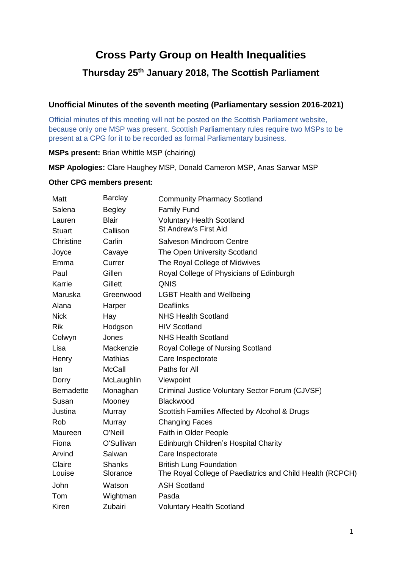# **Cross Party Group on Health Inequalities Thursday 25th January 2018, The Scottish Parliament**

## **Unofficial Minutes of the seventh meeting (Parliamentary session 2016-2021)**

Official minutes of this meeting will not be posted on the Scottish Parliament website, because only one MSP was present. Scottish Parliamentary rules require two MSPs to be present at a CPG for it to be recorded as formal Parliamentary business.

**MSPs present:** Brian Whittle MSP (chairing)

**MSP Apologies:** Clare Haughey MSP, Donald Cameron MSP, Anas Sarwar MSP

#### **Other CPG members present:**

| Matt              | <b>Barclay</b>            | <b>Community Pharmacy Scotland</b>                                                          |  |
|-------------------|---------------------------|---------------------------------------------------------------------------------------------|--|
| Salena            | <b>Begley</b>             | <b>Family Fund</b>                                                                          |  |
| Lauren            | <b>Blair</b>              | <b>Voluntary Health Scotland</b>                                                            |  |
| <b>Stuart</b>     | Callison                  | <b>St Andrew's First Aid</b>                                                                |  |
| Christine         | Carlin                    | Salveson Mindroom Centre                                                                    |  |
| Joyce             | Cavaye                    | The Open University Scotland                                                                |  |
| Emma              | Currer                    | The Royal College of Midwives                                                               |  |
| Paul              | Gillen                    | Royal College of Physicians of Edinburgh                                                    |  |
| Karrie            | Gillett                   | QNIS                                                                                        |  |
| Maruska           | Greenwood                 | <b>LGBT Health and Wellbeing</b>                                                            |  |
| Alana             | Harper                    | <b>Deaflinks</b>                                                                            |  |
| <b>Nick</b>       | Hay                       | <b>NHS Health Scotland</b>                                                                  |  |
| <b>Rik</b>        | Hodgson                   | <b>HIV Scotland</b>                                                                         |  |
| Colwyn            | Jones                     | <b>NHS Health Scotland</b>                                                                  |  |
| Lisa              | Mackenzie                 | Royal College of Nursing Scotland                                                           |  |
| Henry             | <b>Mathias</b>            | Care Inspectorate                                                                           |  |
| lan               | <b>McCall</b>             | Paths for All                                                                               |  |
| Dorry             | McLaughlin                | Viewpoint                                                                                   |  |
| <b>Bernadette</b> | Monaghan                  | Criminal Justice Voluntary Sector Forum (CJVSF)                                             |  |
| Susan             | Mooney                    | Blackwood                                                                                   |  |
| Justina           | Murray                    | Scottish Families Affected by Alcohol & Drugs                                               |  |
| Rob               | Murray                    | <b>Changing Faces</b>                                                                       |  |
| Maureen           | O'Neill                   | Faith in Older People                                                                       |  |
| Fiona             | O'Sullivan                | Edinburgh Children's Hospital Charity                                                       |  |
| Arvind            | Salwan                    | Care Inspectorate                                                                           |  |
| Claire<br>Louise  | <b>Shanks</b><br>Slorance | <b>British Lung Foundation</b><br>The Royal College of Paediatrics and Child Health (RCPCH) |  |
| John              | Watson                    | <b>ASH Scotland</b>                                                                         |  |
| Tom               | Wightman                  | Pasda                                                                                       |  |
| Kiren             | Zubairi                   | <b>Voluntary Health Scotland</b>                                                            |  |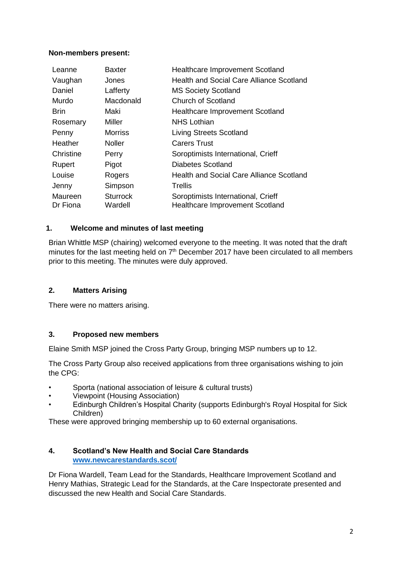#### **Non-members present:**

| Leanne              | <b>Baxter</b>              | <b>Healthcare Improvement Scotland</b>                                       |
|---------------------|----------------------------|------------------------------------------------------------------------------|
| Vaughan             | Jones                      | <b>Health and Social Care Alliance Scotland</b>                              |
| Daniel              | Lafferty                   | <b>MS Society Scotland</b>                                                   |
| Murdo               | Macdonald                  | <b>Church of Scotland</b>                                                    |
| <b>Brin</b>         | Maki                       | <b>Healthcare Improvement Scotland</b>                                       |
| Rosemary            | Miller                     | <b>NHS Lothian</b>                                                           |
| Penny               | <b>Morriss</b>             | <b>Living Streets Scotland</b>                                               |
| Heather             | <b>Noller</b>              | <b>Carers Trust</b>                                                          |
| Christine           | Perry                      | Soroptimists International, Crieff                                           |
| Rupert              | Pigot                      | Diabetes Scotland                                                            |
| Louise              | Rogers                     | Health and Social Care Alliance Scotland                                     |
| Jenny               | Simpson                    | Trellis                                                                      |
| Maureen<br>Dr Fiona | <b>Sturrock</b><br>Wardell | Soroptimists International, Crieff<br><b>Healthcare Improvement Scotland</b> |

#### **1. Welcome and minutes of last meeting**

Brian Whittle MSP (chairing) welcomed everyone to the meeting. It was noted that the draft minutes for the last meeting held on 7<sup>th</sup> December 2017 have been circulated to all members prior to this meeting. The minutes were duly approved.

## **2. Matters Arising**

There were no matters arising.

## **3. Proposed new members**

Elaine Smith MSP joined the Cross Party Group, bringing MSP numbers up to 12.

The Cross Party Group also received applications from three organisations wishing to join the CPG:

- Sporta (national association of leisure & cultural trusts)
- Viewpoint (Housing Association)
- Edinburgh Children's Hospital Charity (supports Edinburgh's Royal Hospital for Sick Children)

These were approved bringing membership up to 60 external organisations.

#### **4. Scotland's New Health and Social Care Standards [www.newcarestandards.scot/](http://www.newcarestandards.scot/)**

Dr Fiona Wardell, Team Lead for the Standards, Healthcare Improvement Scotland and Henry Mathias, Strategic Lead for the Standards, at the Care Inspectorate presented and discussed the new Health and Social Care Standards.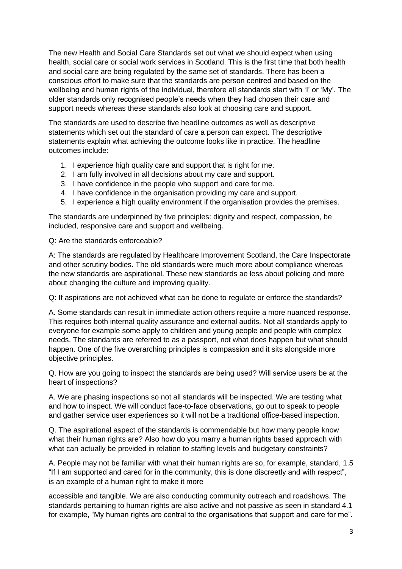The new Health and Social Care Standards set out what we should expect when using health, social care or social work services in Scotland. This is the first time that both health and social care are being regulated by the same set of standards. There has been a conscious effort to make sure that the standards are person centred and based on the wellbeing and human rights of the individual, therefore all standards start with 'I' or 'My'. The older standards only recognised people's needs when they had chosen their care and support needs whereas these standards also look at choosing care and support.

The standards are used to describe five headline outcomes as well as descriptive statements which set out the standard of care a person can expect. The descriptive statements explain what achieving the outcome looks like in practice. The headline outcomes include:

- 1. I experience high quality care and support that is right for me.
- 2. I am fully involved in all decisions about my care and support.
- 3. I have confidence in the people who support and care for me.
- 4. I have confidence in the organisation providing my care and support.
- 5. I experience a high quality environment if the organisation provides the premises.

The standards are underpinned by five principles: dignity and respect, compassion, be included, responsive care and support and wellbeing.

Q: Are the standards enforceable?

A: The standards are regulated by Healthcare Improvement Scotland, the Care Inspectorate and other scrutiny bodies. The old standards were much more about compliance whereas the new standards are aspirational. These new standards ae less about policing and more about changing the culture and improving quality.

Q: If aspirations are not achieved what can be done to regulate or enforce the standards?

A. Some standards can result in immediate action others require a more nuanced response. This requires both internal quality assurance and external audits. Not all standards apply to everyone for example some apply to children and young people and people with complex needs. The standards are referred to as a passport, not what does happen but what should happen. One of the five overarching principles is compassion and it sits alongside more objective principles.

Q. How are you going to inspect the standards are being used? Will service users be at the heart of inspections?

A. We are phasing inspections so not all standards will be inspected. We are testing what and how to inspect. We will conduct face-to-face observations, go out to speak to people and gather service user experiences so it will not be a traditional office-based inspection.

Q. The aspirational aspect of the standards is commendable but how many people know what their human rights are? Also how do you marry a human rights based approach with what can actually be provided in relation to staffing levels and budgetary constraints?

A. People may not be familiar with what their human rights are so, for example, standard, 1.5 "If I am supported and cared for in the community, this is done discreetly and with respect", is an example of a human right to make it more

accessible and tangible. We are also conducting community outreach and roadshows. The standards pertaining to human rights are also active and not passive as seen in standard 4.1 for example, "My human rights are central to the organisations that support and care for me".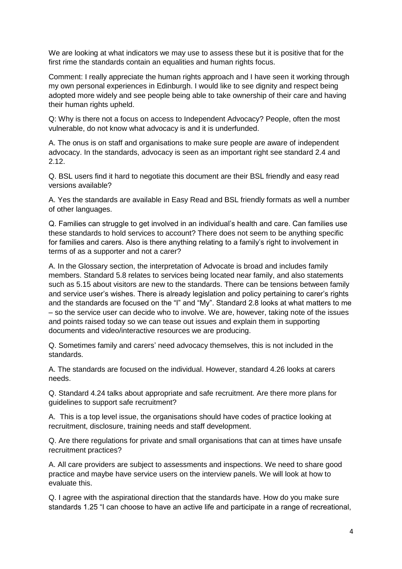We are looking at what indicators we may use to assess these but it is positive that for the first rime the standards contain an equalities and human rights focus.

Comment: I really appreciate the human rights approach and I have seen it working through my own personal experiences in Edinburgh. I would like to see dignity and respect being adopted more widely and see people being able to take ownership of their care and having their human rights upheld.

Q: Why is there not a focus on access to Independent Advocacy? People, often the most vulnerable, do not know what advocacy is and it is underfunded.

A. The onus is on staff and organisations to make sure people are aware of independent advocacy. In the standards, advocacy is seen as an important right see standard 2.4 and 2.12.

Q. BSL users find it hard to negotiate this document are their BSL friendly and easy read versions available?

A. Yes the standards are available in Easy Read and BSL friendly formats as well a number of other languages.

Q. Families can struggle to get involved in an individual's health and care. Can families use these standards to hold services to account? There does not seem to be anything specific for families and carers. Also is there anything relating to a family's right to involvement in terms of as a supporter and not a carer?

A. In the Glossary section, the interpretation of Advocate is broad and includes family members. Standard 5.8 relates to services being located near family, and also statements such as 5.15 about visitors are new to the standards. There can be tensions between family and service user's wishes. There is already legislation and policy pertaining to carer's rights and the standards are focused on the "I" and "My". Standard 2.8 looks at what matters to me – so the service user can decide who to involve. We are, however, taking note of the issues and points raised today so we can tease out issues and explain them in supporting documents and video/interactive resources we are producing.

Q. Sometimes family and carers' need advocacy themselves, this is not included in the standards.

A. The standards are focused on the individual. However, standard 4.26 looks at carers needs.

Q. Standard 4.24 talks about appropriate and safe recruitment. Are there more plans for guidelines to support safe recruitment?

A. This is a top level issue, the organisations should have codes of practice looking at recruitment, disclosure, training needs and staff development.

Q. Are there regulations for private and small organisations that can at times have unsafe recruitment practices?

A. All care providers are subject to assessments and inspections. We need to share good practice and maybe have service users on the interview panels. We will look at how to evaluate this.

Q. I agree with the aspirational direction that the standards have. How do you make sure standards 1.25 "I can choose to have an active life and participate in a range of recreational,